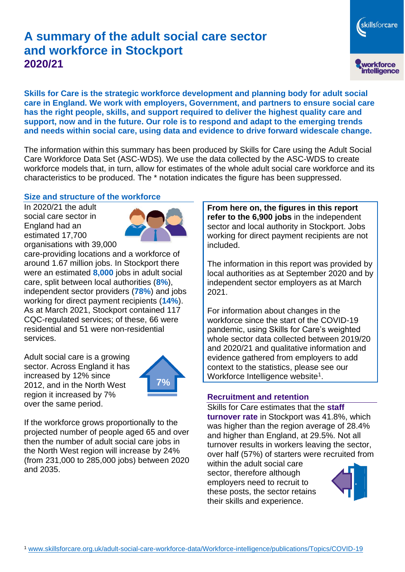# **A summary of the adult social care sector and workforce in Stockport 2020/21**

workforce<br>intelligence

skillsforcare

**Skills for Care is the strategic workforce development and planning body for adult social care in England. We work with employers, Government, and partners to ensure social care has the right people, skills, and support required to deliver the highest quality care and support, now and in the future. Our role is to respond and adapt to the emerging trends and needs within social care, using data and evidence to drive forward widescale change.**

The information within this summary has been produced by Skills for Care using the Adult Social Care Workforce Data Set (ASC-WDS). We use the data collected by the ASC-WDS to create workforce models that, in turn, allow for estimates of the whole adult social care workforce and its characteristics to be produced. The \* notation indicates the figure has been suppressed.

#### **Size and structure of the workforce**

In 2020/21 the adult social care sector in England had an estimated 17,700 organisations with 39,000



care-providing locations and a workforce of around 1.67 million jobs. In Stockport there were an estimated **8,000** jobs in adult social care, split between local authorities (**8%**), independent sector providers (**78%**) and jobs working for direct payment recipients (**14%**). As at March 2021, Stockport contained 117 CQC-regulated services; of these, 66 were residential and 51 were non-residential services.

Adult social care is a growing sector. Across England it has increased by 12% since 2012, and in the North West region it increased by 7% over the same period.



If the workforce grows proportionally to the projected number of people aged 65 and over then the number of adult social care jobs in the North West region will increase by 24% (from 231,000 to 285,000 jobs) between 2020 and 2035.

**From here on, the figures in this report refer to the 6,900 jobs** in the independent sector and local authority in Stockport. Jobs working for direct payment recipients are not included.

The information in this report was provided by local authorities as at September 2020 and by independent sector employers as at March 2021.

For information about changes in the workforce since the start of the COVID-19 pandemic, using Skills for Care's weighted whole sector data collected between 2019/20 and 2020/21 and qualitative information and evidence gathered from employers to add context to the statistics, please see our Workforce Intelligence website<sup>1</sup>.

#### **Recruitment and retention**

Skills for Care estimates that the **staff turnover rate** in Stockport was 41.8%, which was higher than the region average of 28.4% and higher than England, at 29.5%. Not all turnover results in workers leaving the sector, over half (57%) of starters were recruited from

within the adult social care sector, therefore although employers need to recruit to these posts, the sector retains their skills and experience.

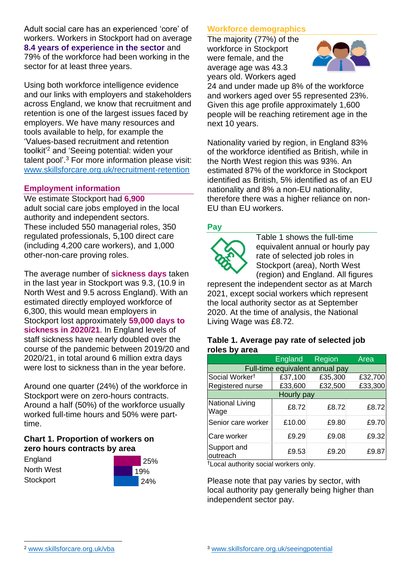Adult social care has an experienced 'core' of workers. Workers in Stockport had on average **8.4 years of experience in the sector** and 79% of the workforce had been working in the sector for at least three years.

Using both workforce intelligence evidence and our links with employers and stakeholders across England, we know that recruitment and retention is one of the largest issues faced by employers. We have many resources and tools available to help, for example the 'Values-based recruitment and retention toolkit'<sup>2</sup> and 'Seeing potential: widen your talent pool'. <sup>3</sup> For more information please visit: [www.skillsforcare.org.uk/recruitment-retention](http://www.skillsforcare.org.uk/recruitment-retention)

#### **Employment information**

We estimate Stockport had **6,900** adult social care jobs employed in the local authority and independent sectors. These included 550 managerial roles, 350 regulated professionals, 5,100 direct care (including 4,200 care workers), and 1,000 other-non-care proving roles.

The average number of **sickness days** taken in the last year in Stockport was 9.3, (10.9 in North West and 9.5 across England). With an estimated directly employed workforce of 6,300, this would mean employers in Stockport lost approximately **59,000 days to sickness in 2020/21**. In England levels of staff sickness have nearly doubled over the course of the pandemic between 2019/20 and 2020/21, in total around 6 million extra days were lost to sickness than in the year before.

Around one quarter (24%) of the workforce in Stockport were on zero-hours contracts. Around a half (50%) of the workforce usually worked full-time hours and 50% were parttime.

### **Chart 1. Proportion of workers on zero hours contracts by area**

**England** North West **Stockport** 



### **Workforce demographics**

The majority (77%) of the workforce in Stockport were female, and the average age was 43.3 years old. Workers aged



24 and under made up 8% of the workforce and workers aged over 55 represented 23%. Given this age profile approximately 1,600 people will be reaching retirement age in the next 10 years.

Nationality varied by region, in England 83% of the workforce identified as British, while in the North West region this was 93%. An estimated 87% of the workforce in Stockport identified as British, 5% identified as of an EU nationality and 8% a non-EU nationality, therefore there was a higher reliance on non-EU than EU workers.

### **Pay**



Table 1 shows the full-time equivalent annual or hourly pay rate of selected job roles in Stockport (area), North West (region) and England. All figures

represent the independent sector as at March 2021, except social workers which represent the local authority sector as at September 2020. At the time of analysis, the National Living Wage was £8.72.

#### **Table 1. Average pay rate of selected job roles by area**

|                                 | <b>England</b> | Region  | Area    |
|---------------------------------|----------------|---------|---------|
| Full-time equivalent annual pay |                |         |         |
| Social Worker <sup>t</sup>      | £37,100        | £35,300 | £32,700 |
| Registered nurse                | £33,600        | £32,500 | £33,300 |
| Hourly pay                      |                |         |         |
| National Living<br>Wage         | £8.72          | £8.72   | £8.72   |
| Senior care worker              | £10.00         | £9.80   | £9.70   |
| Care worker                     | £9.29          | £9.08   | £9.32   |
| Support and<br>outreach         | £9.53          | £9.20   | £9.87   |

†Local authority social workers only.

Please note that pay varies by sector, with local authority pay generally being higher than independent sector pay.

[www.skillsforcare.org.uk/vba](http://www.skillsforcare.org.uk/vba)